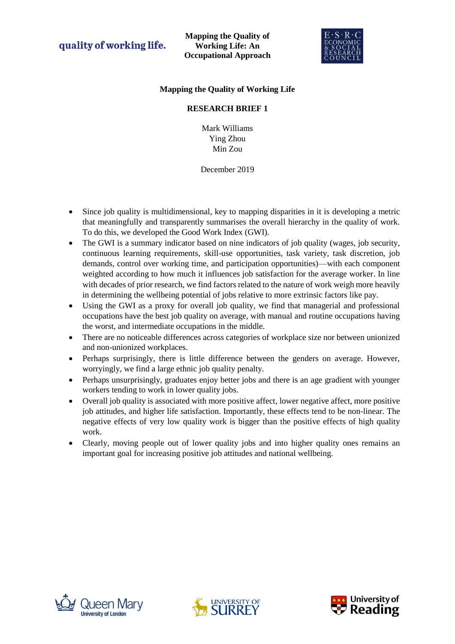quality of working life.

**Mapping the Quality of Working Life: An Occupational Approach**



## **Mapping the Quality of Working Life**

### **RESEARCH BRIEF 1**

Mark Williams Ying Zhou Min Zou

December 2019

- Since job quality is multidimensional, key to mapping disparities in it is developing a metric that meaningfully and transparently summarises the overall hierarchy in the quality of work. To do this, we developed the Good Work Index (GWI).
- The GWI is a summary indicator based on nine indicators of job quality (wages, job security, continuous learning requirements, skill-use opportunities, task variety, task discretion, job demands, control over working time, and participation opportunities)—with each component weighted according to how much it influences job satisfaction for the average worker. In line with decades of prior research, we find factors related to the nature of work weigh more heavily in determining the wellbeing potential of jobs relative to more extrinsic factors like pay.
- Using the GWI as a proxy for overall job quality, we find that managerial and professional occupations have the best job quality on average, with manual and routine occupations having the worst, and intermediate occupations in the middle.
- There are no noticeable differences across categories of workplace size nor between unionized and non-unionized workplaces.
- Perhaps surprisingly, there is little difference between the genders on average. However, worryingly, we find a large ethnic job quality penalty.
- Perhaps unsurprisingly, graduates enjoy better jobs and there is an age gradient with younger workers tending to work in lower quality jobs.
- Overall job quality is associated with more positive affect, lower negative affect, more positive job attitudes, and higher life satisfaction. Importantly, these effects tend to be non-linear. The negative effects of very low quality work is bigger than the positive effects of high quality work.
- Clearly, moving people out of lower quality jobs and into higher quality ones remains an important goal for increasing positive job attitudes and national wellbeing.





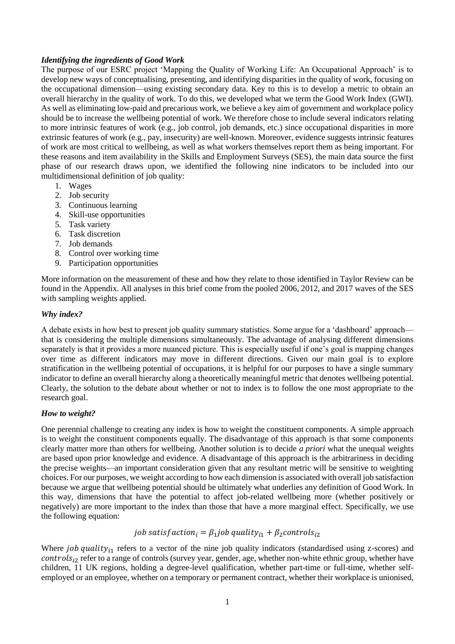#### *Identifying the ingredients of Good Work*

The purpose of our ESRC project 'Mapping the Quality of Working Life: An Occupational Approach' is to develop new ways of conceptualising, presenting, and identifying disparities in the quality of work, focusing on the occupational dimension—using existing secondary data. Key to this is to develop a metric to obtain an overall hierarchy in the quality of work. To do this, we developed what we term the Good Work Index (GWI). As well as eliminating low-paid and precarious work, we believe a key aim of government and workplace policy should be to increase the wellbeing potential of work. We therefore chose to include several indicators relating to more intrinsic features of work (e.g., job control, job demands, etc.) since occupational disparities in more extrinsic features of work (e.g., pay, insecurity) are well-known. Moreover, evidence suggests intrinsic features of work are most critical to wellbeing, as well as what workers themselves report them as being important. For these reasons and item availability in the Skills and Employment Surveys (SES), the main data source the first phase of our research draws upon, we identified the following nine indicators to be included into our multidimensional definition of job quality:

- 1. Wages
- 2. Job security
- 3. Continuous learning
- 4. Skill-use opportunities
- 5. Task variety
- 6. Task discretion
- 7. Job demands
- 8. Control over working time
- 9. Participation opportunities

More information on the measurement of these and how they relate to those identified in Taylor Review can be found in the Appendix. All analyses in this brief come from the pooled 2006, 2012, and 2017 waves of the SES with sampling weights applied.

#### *Why index?*

A debate exists in how best to present job quality summary statistics. Some argue for a 'dashboard' approach that is considering the multiple dimensions simultaneously. The advantage of analysing different dimensions separately is that it provides a more nuanced picture. This is especially useful if one's goal is mapping changes over time as different indicators may move in different directions. Given our main goal is to explore stratification in the wellbeing potential of occupations, it is helpful for our purposes to have a single summary indicator to define an overall hierarchy along a theoretically meaningful metric that denotes wellbeing potential. Clearly, the solution to the debate about whether or not to index is to follow the one most appropriate to the research goal.

#### *How to weight?*

One perennial challenge to creating any index is how to weight the constituent components. A simple approach is to weight the constituent components equally. The disadvantage of this approach is that some components clearly matter more than others for wellbeing. Another solution is to decide *a priori* what the unequal weights are based upon prior knowledge and evidence. A disadvantage of this approach is the arbitrariness in deciding the precise weights—an important consideration given that any resultant metric will be sensitive to weighting choices. For our purposes, we weight according to how each dimension is associated with overall job satisfaction because we argue that wellbeing potential should be ultimately what underlies any definition of Good Work. In this way, dimensions that have the potential to affect job-related wellbeing more (whether positively or negatively) are more important to the index than those that have a more marginal effect. Specifically, we use the following equation:

### job satisfaction<sub>i</sub> =  $\beta_1$ job quality<sub>i1</sub> +  $\beta_2$ controls<sub>i2</sub>

Where *job quality<sub>i1</sub>* refers to a vector of the nine job quality indicators (standardised using z-scores) and  $controls_{i2}$  refer to a range of controls (survey year, gender, age, whether non-white ethnic group, whether have children, 11 UK regions, holding a degree-level qualification, whether part-time or full-time, whether selfemployed or an employee, whether on a temporary or permanent contract, whether their workplace is unionised,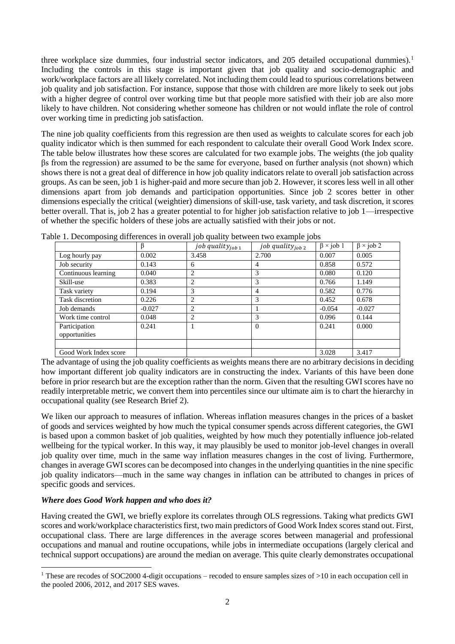three workplace size dummies, four industrial sector indicators, and 205 detailed occupational dummies).<sup>1</sup> Including the controls in this stage is important given that job quality and socio-demographic and work/workplace factors are all likely correlated. Not including them could lead to spurious correlations between job quality and job satisfaction. For instance, suppose that those with children are more likely to seek out jobs with a higher degree of control over working time but that people more satisfied with their job are also more likely to have children. Not considering whether someone has children or not would inflate the role of control over working time in predicting job satisfaction.

The nine job quality coefficients from this regression are then used as weights to calculate scores for each job quality indicator which is then summed for each respondent to calculate their overall Good Work Index score. The table below illustrates how these scores are calculated for two example jobs. The weights (the job quality βs from the regression) are assumed to be the same for everyone, based on further analysis (not shown) which shows there is not a great deal of difference in how job quality indicators relate to overall job satisfaction across groups. As can be seen, job 1 is higher-paid and more secure than job 2. However, it scores less well in all other dimensions apart from job demands and participation opportunities. Since job 2 scores better in other dimensions especially the critical (weightier) dimensions of skill-use, task variety, and task discretion, it scores better overall. That is, job 2 has a greater potential to for higher job satisfaction relative to job 1—irrespective of whether the specific holders of these jobs are actually satisfied with their jobs or not.

|                       | ß        | job quality $_{job\ 1}$ | job quality $_{job\ 2}$ | $\beta$ × job 1 | $\beta \times j$ ob 2 |
|-----------------------|----------|-------------------------|-------------------------|-----------------|-----------------------|
| Log hourly pay        | 0.002    | 3.458                   | 2.700                   | 0.007           | 0.005                 |
| Job security          | 0.143    | 6                       | 4                       | 0.858           | 0.572                 |
| Continuous learning   | 0.040    | 2                       | 3                       | 0.080           | 0.120                 |
| Skill-use             | 0.383    | $\overline{c}$          | 3                       | 0.766           | 1.149                 |
| Task variety          | 0.194    | 3                       | 4                       | 0.582           | 0.776                 |
| Task discretion       | 0.226    | 2                       | 3                       | 0.452           | 0.678                 |
| Job demands           | $-0.027$ | $\overline{c}$          |                         | $-0.054$        | $-0.027$              |
| Work time control     | 0.048    | 2                       | 3                       | 0.096           | 0.144                 |
| Participation         | 0.241    |                         | $\Omega$                | 0.241           | 0.000                 |
| opportunities         |          |                         |                         |                 |                       |
|                       |          |                         |                         |                 |                       |
| Good Work Index score |          |                         |                         | 3.028           | 3.417                 |

Table 1. Decomposing differences in overall job quality between two example jobs

The advantage of using the job quality coefficients as weights means there are no arbitrary decisions in deciding how important different job quality indicators are in constructing the index. Variants of this have been done before in prior research but are the exception rather than the norm. Given that the resulting GWI scores have no readily interpretable metric, we convert them into percentiles since our ultimate aim is to chart the hierarchy in occupational quality (see Research Brief 2).

We liken our approach to measures of inflation. Whereas inflation measures changes in the prices of a basket of goods and services weighted by how much the typical consumer spends across different categories, the GWI is based upon a common basket of job qualities, weighted by how much they potentially influence job-related wellbeing for the typical worker. In this way, it may plausibly be used to monitor job-level changes in overall job quality over time, much in the same way inflation measures changes in the cost of living. Furthermore, changes in average GWI scores can be decomposed into changes in the underlying quantities in the nine specific job quality indicators—much in the same way changes in inflation can be attributed to changes in prices of specific goods and services.

### *Where does Good Work happen and who does it?*

1

Having created the GWI, we briefly explore its correlates through OLS regressions. Taking what predicts GWI scores and work/workplace characteristics first, two main predictors of Good Work Index scores stand out. First, occupational class. There are large differences in the average scores between managerial and professional occupations and manual and routine occupations, while jobs in intermediate occupations (largely clerical and technical support occupations) are around the median on average. This quite clearly demonstrates occupational

<sup>&</sup>lt;sup>1</sup> These are recodes of SOC2000 4-digit occupations – recoded to ensure samples sizes of  $>10$  in each occupation cell in the pooled 2006, 2012, and 2017 SES waves.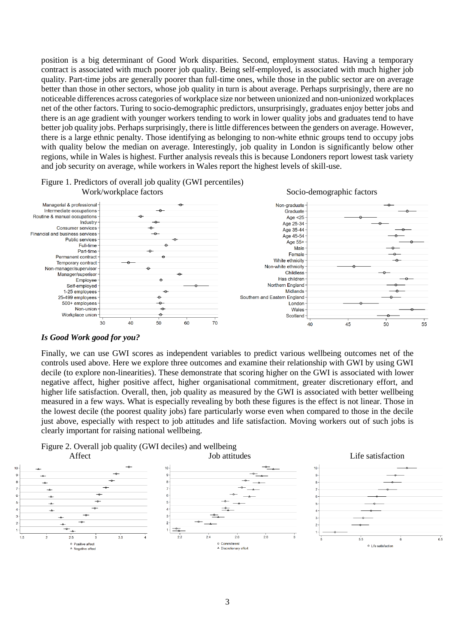position is a big determinant of Good Work disparities. Second, employment status. Having a temporary contract is associated with much poorer job quality. Being self-employed, is associated with much higher job quality. Part-time jobs are generally poorer than full-time ones, while those in the public sector are on average better than those in other sectors, whose job quality in turn is about average. Perhaps surprisingly, there are no noticeable differences across categories of workplace size nor between unionized and non-unionized workplaces net of the other factors. Turing to socio-demographic predictors, unsurprisingly, graduates enjoy better jobs and there is an age gradient with younger workers tending to work in lower quality jobs and graduates tend to have better job quality jobs. Perhaps surprisingly, there is little differences between the genders on average. However, there is a large ethnic penalty. Those identifying as belonging to non-white ethnic groups tend to occupy jobs with quality below the median on average. Interestingly, job quality in London is significantly below other regions, while in Wales is highest. Further analysis reveals this is because Londoners report lowest task variety and job security on average, while workers in Wales report the highest levels of skill-use.



# Figure 1. Predictors of overall job quality (GWI percentiles)

#### *Is Good Work good for you?*

Finally, we can use GWI scores as independent variables to predict various wellbeing outcomes net of the controls used above. Here we explore three outcomes and examine their relationship with GWI by using GWI decile (to explore non-linearities). These demonstrate that scoring higher on the GWI is associated with lower negative affect, higher positive affect, higher organisational commitment, greater discretionary effort, and higher life satisfaction. Overall, then, job quality as measured by the GWI is associated with better wellbeing measured in a few ways. What is especially revealing by both these figures is the effect is not linear. Those in the lowest decile (the poorest quality jobs) fare particularly worse even when compared to those in the decile just above, especially with respect to job attitudes and life satisfaction. Moving workers out of such jobs is clearly important for raising national wellbeing.



#### 3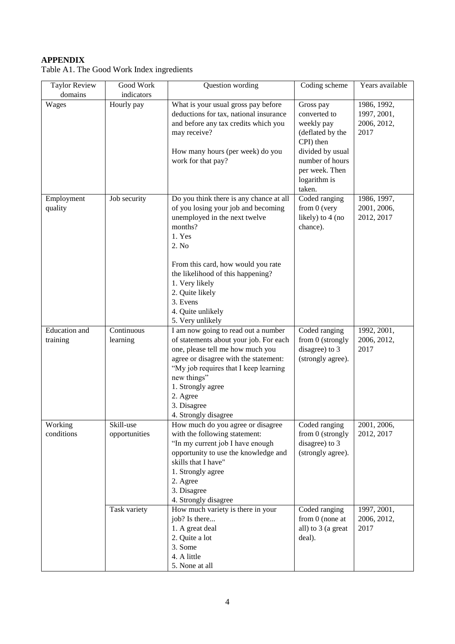## **APPENDIX**

| <b>Taylor Review</b><br>domains  | Good Work<br>indicators    | Question wording                                                                                                                                                                                                                                                                                                   | Coding scheme                                                                                                                                               | Years available                                   |
|----------------------------------|----------------------------|--------------------------------------------------------------------------------------------------------------------------------------------------------------------------------------------------------------------------------------------------------------------------------------------------------------------|-------------------------------------------------------------------------------------------------------------------------------------------------------------|---------------------------------------------------|
| Wages                            | Hourly pay                 | What is your usual gross pay before<br>deductions for tax, national insurance<br>and before any tax credits which you<br>may receive?<br>How many hours (per week) do you<br>work for that pay?                                                                                                                    | Gross pay<br>converted to<br>weekly pay<br>(deflated by the<br>CPI) then<br>divided by usual<br>number of hours<br>per week. Then<br>logarithm is<br>taken. | 1986, 1992,<br>1997, 2001,<br>2006, 2012,<br>2017 |
| Employment<br>quality            | Job security               | Do you think there is any chance at all<br>of you losing your job and becoming<br>unemployed in the next twelve<br>months?<br>1. Yes<br>2. No<br>From this card, how would you rate<br>the likelihood of this happening?<br>1. Very likely<br>2. Quite likely<br>3. Evens<br>4. Quite unlikely<br>5. Very unlikely | Coded ranging<br>from 0 (very<br>likely) to 4 (no<br>chance).                                                                                               | 1986, 1997,<br>2001, 2006,<br>2012, 2017          |
| <b>Education</b> and<br>training | Continuous<br>learning     | I am now going to read out a number<br>of statements about your job. For each<br>one, please tell me how much you<br>agree or disagree with the statement:<br>"My job requires that I keep learning<br>new things"<br>1. Strongly agree<br>2. Agree<br>3. Disagree<br>4. Strongly disagree                         | Coded ranging<br>from 0 (strongly<br>disagree) to 3<br>(strongly agree).                                                                                    | 1992, 2001,<br>2006, 2012,<br>2017                |
| Working<br>conditions            | Skill-use<br>opportunities | How much do you agree or disagree<br>with the following statement:<br>"In my current job I have enough<br>opportunity to use the knowledge and<br>skills that I have"<br>1. Strongly agree<br>2. Agree<br>3. Disagree<br>4. Strongly disagree                                                                      | Coded ranging<br>from 0 (strongly<br>disagree) to 3<br>(strongly agree).                                                                                    | 2001, 2006,<br>2012, 2017                         |
|                                  | Task variety               | How much variety is there in your<br>job? Is there                                                                                                                                                                                                                                                                 | Coded ranging<br>from $0$ (none at                                                                                                                          | 1997, 2001,<br>2006, 2012,                        |

Table A1. The Good Work Index ingredients

all) to 3 (a great

2017

deal).

1. A great deal 2. Quite a lot 3. Some 4. A little 5. None at all